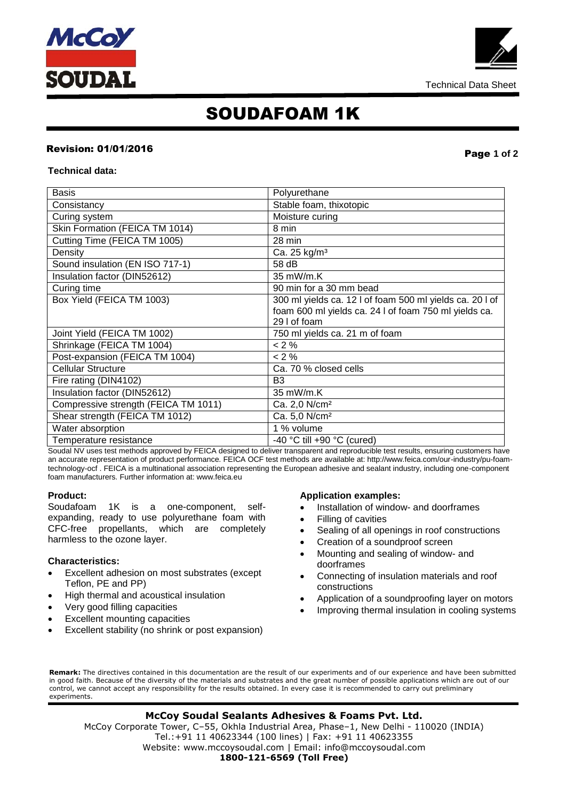



## SOUDAFOAM 1K

## Revision: 01/01/201<sup>6</sup> Page **1 of 2**

#### **Technical data:**

| Basis                                | Polyurethane                                             |
|--------------------------------------|----------------------------------------------------------|
| Consistancy                          | Stable foam, thixotopic                                  |
| Curing system                        | Moisture curing                                          |
| Skin Formation (FEICA TM 1014)       | 8 min                                                    |
| Cutting Time (FEICA TM 1005)         | 28 min                                                   |
| Density                              | Ca. 25 kg/m <sup>3</sup>                                 |
| Sound insulation (EN ISO 717-1)      | 58 dB                                                    |
| Insulation factor (DIN52612)         | 35 mW/m.K                                                |
| Curing time                          | 90 min for a 30 mm bead                                  |
| Box Yield (FEICA TM 1003)            | 300 ml yields ca. 12 l of foam 500 ml yields ca. 20 l of |
|                                      | foam 600 ml yields ca. 24 l of foam 750 ml yields ca.    |
|                                      | 29 I of foam                                             |
| Joint Yield (FEICA TM 1002)          | 750 ml yields ca. 21 m of foam                           |
| Shrinkage (FEICA TM 1004)            | $<$ 2 %                                                  |
| Post-expansion (FEICA TM 1004)       | $< 2 \%$                                                 |
| <b>Cellular Structure</b>            | Ca. 70 % closed cells                                    |
| Fire rating (DIN4102)                | B <sub>3</sub>                                           |
| Insulation factor (DIN52612)         | 35 mW/m.K                                                |
| Compressive strength (FEICA TM 1011) | Ca. 2,0 N/cm <sup>2</sup>                                |
| Shear strength (FEICA TM 1012)       | Ca. 5,0 N/cm <sup>2</sup>                                |
| Water absorption                     | 1 % volume                                               |
| Temperature resistance               | -40 °C till +90 °C (cured)                               |

Soudal NV uses test methods approved by FEICA designed to deliver transparent and reproducible test results, ensuring customers have an accurate representation of product performance. FEICA OCF test methods are available at: http://www.feica.com/our-industry/pu-foamtechnology-ocf . FEICA is a multinational association representing the European adhesive and sealant industry, including one-component foam manufacturers. Further information at: www.feica.eu

#### **Product:**

Soudafoam 1K is a one-component, selfexpanding, ready to use polyurethane foam with CFC-free propellants, which are completely harmless to the ozone layer.

### **Characteristics:**

- Excellent adhesion on most substrates (except Teflon, PE and PP)
- High thermal and acoustical insulation
- Very good filling capacities
- Excellent mounting capacities
- Excellent stability (no shrink or post expansion)

#### **Application examples:**

- Installation of window- and doorframes
- Filling of cavities
- Sealing of all openings in roof constructions
- Creation of a soundproof screen
- Mounting and sealing of window- and doorframes
- Connecting of insulation materials and roof constructions
- Application of a soundproofing layer on motors
- Improving thermal insulation in cooling systems

**Remark:** The directives contained in this documentation are the result of our experiments and of our experience and have been submitted in good faith. Because of the diversity of the materials and substrates and the great number of possible applications which are out of our control, we cannot accept any responsibility for the results obtained. In every case it is recommended to carry out preliminary experiments.

 Website: www.mccoysoudal.com | Email: info@mccoysoudal.com **McCoy Soudal Sealants Adhesives & Foams Pvt. Ltd.** McCoy Corporate Tower, C–55, Okhla Industrial Area, Phase–1, New Delhi - 110020 (INDIA) Tel.:+91 11 40623344 (100 lines) | Fax: +91 11 40623355 **1800-121-6569 (Toll Free)**